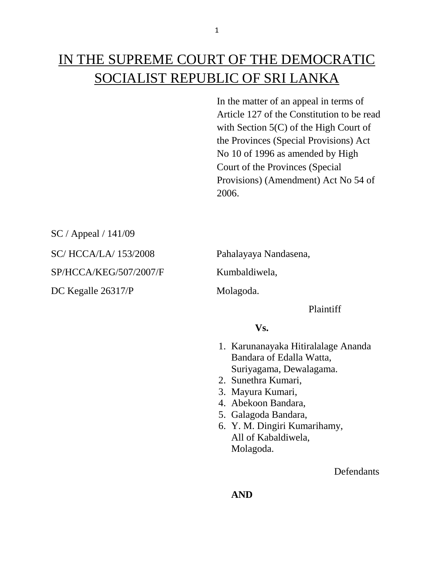# IN THE SUPREME COURT OF THE DEMOCRATIC SOCIALIST REPUBLIC OF SRI LANKA

In the matter of an appeal in terms of Article 127 of the Constitution to be read with Section 5(C) of the High Court of the Provinces (Special Provisions) Act No 10 of 1996 as amended by High Court of the Provinces (Special Provisions) (Amendment) Act No 54 of 2006.

SC / Appeal / 141/09

SC/ HCCA/LA/ 153/2008 Pahalayaya Nandasena,

SP/HCCA/KEG/507/2007/F Kumbaldiwela,

DC Kegalle 26317/P Molagoda.

Plaintiff

## **Vs.**

- 1. Karunanayaka Hitiralalage Ananda Bandara of Edalla Watta, Suriyagama, Dewalagama.
- 2. Sunethra Kumari,
- 3. Mayura Kumari,
- 4. Abekoon Bandara,
- 5. Galagoda Bandara,
- 6. Y. M. Dingiri Kumarihamy, All of Kabaldiwela, Molagoda.

**Defendants**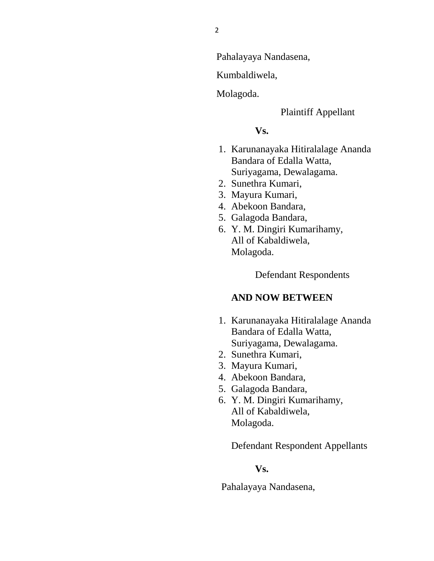Pahalayaya Nandasena,

Kumbaldiwela,

Molagoda.

#### Plaintiff Appellant

#### **Vs.**

- 1. Karunanayaka Hitiralalage Ananda Bandara of Edalla Watta, Suriyagama, Dewalagama.
- 2. Sunethra Kumari,
- 3. Mayura Kumari,
- 4. Abekoon Bandara,
- 5. Galagoda Bandara,
- 6. Y. M. Dingiri Kumarihamy, All of Kabaldiwela, Molagoda.

Defendant Respondents

### **AND NOW BETWEEN**

- 1. Karunanayaka Hitiralalage Ananda Bandara of Edalla Watta, Suriyagama, Dewalagama.
- 2. Sunethra Kumari,
- 3. Mayura Kumari,
- 4. Abekoon Bandara,
- 5. Galagoda Bandara,
- 6. Y. M. Dingiri Kumarihamy, All of Kabaldiwela, Molagoda.

Defendant Respondent Appellants

## **Vs.**

Pahalayaya Nandasena,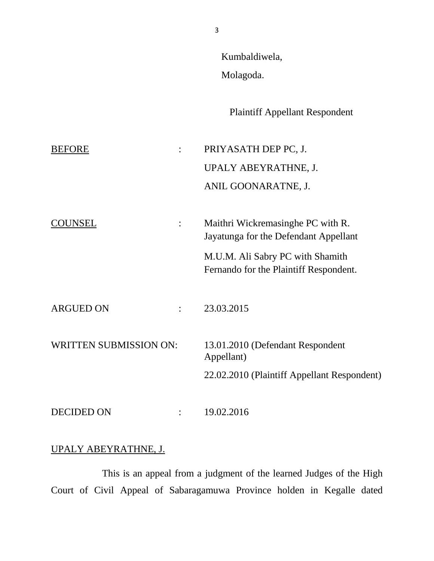Kumbaldiwela,

Molagoda.

Plaintiff Appellant Respondent

BEFORE : PRIYASATH DEP PC, J. UPALY ABEYRATHNE, J. ANIL GOONARATNE, J. COUNSEL : Maithri Wickremasinghe PC with R. Jayatunga for the Defendant Appellant M.U.M. Ali Sabry PC with Shamith Fernando for the Plaintiff Respondent. ARGUED ON : 23.03.2015 WRITTEN SUBMISSION ON: 13.01.2010 (Defendant Respondent Appellant) 22.02.2010 (Plaintiff Appellant Respondent) DECIDED ON : 19.02.2016

## UPALY ABEYRATHNE, J.

This is an appeal from a judgment of the learned Judges of the High Court of Civil Appeal of Sabaragamuwa Province holden in Kegalle dated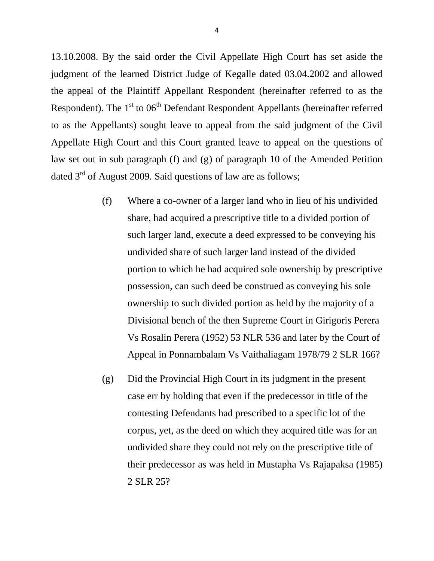13.10.2008. By the said order the Civil Appellate High Court has set aside the judgment of the learned District Judge of Kegalle dated 03.04.2002 and allowed the appeal of the Plaintiff Appellant Respondent (hereinafter referred to as the Respondent). The  $1<sup>st</sup>$  to 06<sup>th</sup> Defendant Respondent Appellants (hereinafter referred to as the Appellants) sought leave to appeal from the said judgment of the Civil Appellate High Court and this Court granted leave to appeal on the questions of law set out in sub paragraph (f) and (g) of paragraph 10 of the Amended Petition dated  $3<sup>rd</sup>$  of August 2009. Said questions of law are as follows;

- (f) Where a co-owner of a larger land who in lieu of his undivided share, had acquired a prescriptive title to a divided portion of such larger land, execute a deed expressed to be conveying his undivided share of such larger land instead of the divided portion to which he had acquired sole ownership by prescriptive possession, can such deed be construed as conveying his sole ownership to such divided portion as held by the majority of a Divisional bench of the then Supreme Court in Girigoris Perera Vs Rosalin Perera (1952) 53 NLR 536 and later by the Court of Appeal in Ponnambalam Vs Vaithaliagam 1978/79 2 SLR 166?
- (g) Did the Provincial High Court in its judgment in the present case err by holding that even if the predecessor in title of the contesting Defendants had prescribed to a specific lot of the corpus, yet, as the deed on which they acquired title was for an undivided share they could not rely on the prescriptive title of their predecessor as was held in Mustapha Vs Rajapaksa (1985) 2 SLR 25?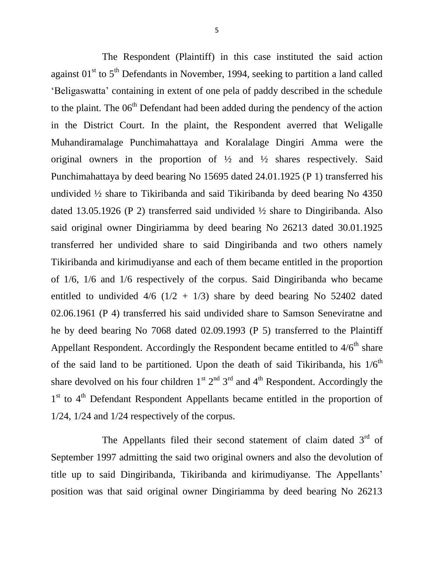The Respondent (Plaintiff) in this case instituted the said action against  $01<sup>st</sup>$  to  $5<sup>th</sup>$  Defendants in November, 1994, seeking to partition a land called 'Beligaswatta' containing in extent of one pela of paddy described in the schedule to the plaint. The  $06<sup>th</sup>$  Defendant had been added during the pendency of the action in the District Court. In the plaint, the Respondent averred that Weligalle Muhandiramalage Punchimahattaya and Koralalage Dingiri Amma were the original owners in the proportion of  $\frac{1}{2}$  and  $\frac{1}{2}$  shares respectively. Said Punchimahattaya by deed bearing No 15695 dated 24.01.1925 (P 1) transferred his undivided ½ share to Tikiribanda and said Tikiribanda by deed bearing No 4350 dated 13.05.1926 (P 2) transferred said undivided ½ share to Dingiribanda. Also said original owner Dingiriamma by deed bearing No 26213 dated 30.01.1925 transferred her undivided share to said Dingiribanda and two others namely Tikiribanda and kirimudiyanse and each of them became entitled in the proportion of 1/6, 1/6 and 1/6 respectively of the corpus. Said Dingiribanda who became entitled to undivided  $4/6$  ( $1/2 + 1/3$ ) share by deed bearing No 52402 dated 02.06.1961 (P 4) transferred his said undivided share to Samson Seneviratne and he by deed bearing No 7068 dated 02.09.1993 (P 5) transferred to the Plaintiff Appellant Respondent. Accordingly the Respondent became entitled to  $4/6<sup>th</sup>$  share of the said land to be partitioned. Upon the death of said Tikiribanda, his  $1/6<sup>th</sup>$ share devolved on his four children  $1^{st} 2^{nd} 3^{rd}$  and  $4^{th}$  Respondent. Accordingly the 1<sup>st</sup> to 4<sup>th</sup> Defendant Respondent Appellants became entitled in the proportion of 1/24, 1/24 and 1/24 respectively of the corpus.

The Appellants filed their second statement of claim dated 3<sup>rd</sup> of September 1997 admitting the said two original owners and also the devolution of title up to said Dingiribanda, Tikiribanda and kirimudiyanse. The Appellants' position was that said original owner Dingiriamma by deed bearing No 26213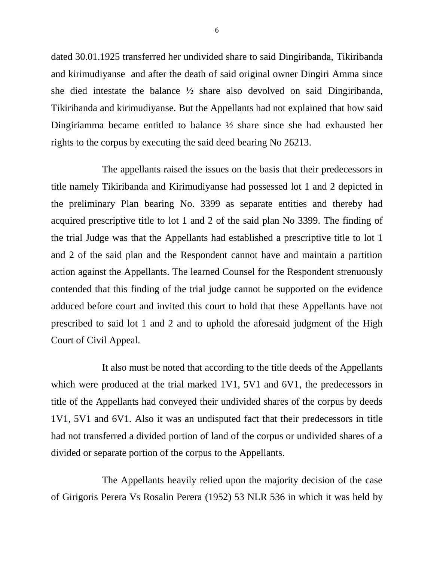dated 30.01.1925 transferred her undivided share to said Dingiribanda, Tikiribanda and kirimudiyanse and after the death of said original owner Dingiri Amma since she died intestate the balance  $\frac{1}{2}$  share also devolved on said Dingiribanda, Tikiribanda and kirimudiyanse. But the Appellants had not explained that how said Dingiriamma became entitled to balance ½ share since she had exhausted her rights to the corpus by executing the said deed bearing No 26213.

The appellants raised the issues on the basis that their predecessors in title namely Tikiribanda and Kirimudiyanse had possessed lot 1 and 2 depicted in the preliminary Plan bearing No. 3399 as separate entities and thereby had acquired prescriptive title to lot 1 and 2 of the said plan No 3399. The finding of the trial Judge was that the Appellants had established a prescriptive title to lot 1 and 2 of the said plan and the Respondent cannot have and maintain a partition action against the Appellants. The learned Counsel for the Respondent strenuously contended that this finding of the trial judge cannot be supported on the evidence adduced before court and invited this court to hold that these Appellants have not prescribed to said lot 1 and 2 and to uphold the aforesaid judgment of the High Court of Civil Appeal.

It also must be noted that according to the title deeds of the Appellants which were produced at the trial marked 1V1, 5V1 and 6V1, the predecessors in title of the Appellants had conveyed their undivided shares of the corpus by deeds 1V1, 5V1 and 6V1. Also it was an undisputed fact that their predecessors in title had not transferred a divided portion of land of the corpus or undivided shares of a divided or separate portion of the corpus to the Appellants.

The Appellants heavily relied upon the majority decision of the case of Girigoris Perera Vs Rosalin Perera (1952) 53 NLR 536 in which it was held by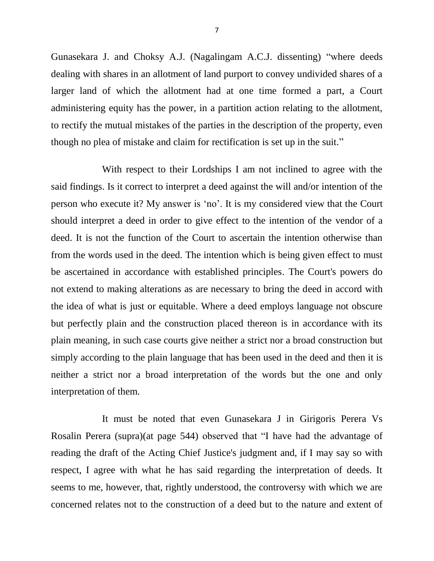Gunasekara J. and Choksy A.J. (Nagalingam A.C.J. dissenting) "where deeds dealing with shares in an allotment of land purport to convey undivided shares of a larger land of which the allotment had at one time formed a part, a Court administering equity has the power, in a partition action relating to the allotment, to rectify the mutual mistakes of the parties in the description of the property, even though no plea of mistake and claim for rectification is set up in the suit."

With respect to their Lordships I am not inclined to agree with the said findings. Is it correct to interpret a deed against the will and/or intention of the person who execute it? My answer is 'no'. It is my considered view that the Court should interpret a deed in order to give effect to the intention of the vendor of a deed. It is not the function of the Court to ascertain the intention otherwise than from the words used in the deed. The intention which is being given effect to must be ascertained in accordance with established principles. The Court's powers do not extend to making alterations as are necessary to bring the deed in accord with the idea of what is just or equitable. Where a deed employs language not obscure but perfectly plain and the construction placed thereon is in accordance with its plain meaning, in such case courts give neither a strict nor a broad construction but simply according to the plain language that has been used in the deed and then it is neither a strict nor a broad interpretation of the words but the one and only interpretation of them.

It must be noted that even Gunasekara J in Girigoris Perera Vs Rosalin Perera (supra)(at page 544) observed that "I have had the advantage of reading the draft of the Acting Chief Justice's judgment and, if I may say so with respect, I agree with what he has said regarding the interpretation of deeds. It seems to me, however, that, rightly understood, the controversy with which we are concerned relates not to the construction of a deed but to the nature and extent of

7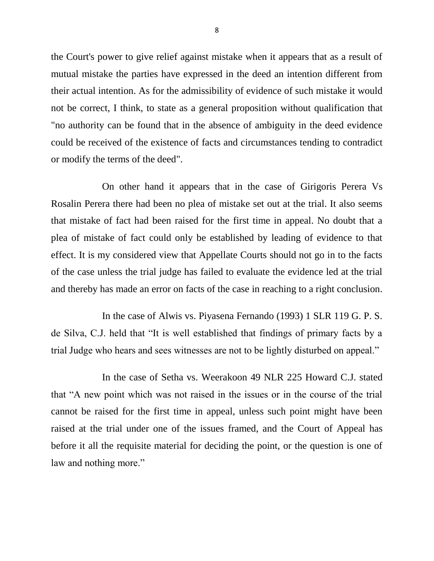the Court's power to give relief against mistake when it appears that as a result of mutual mistake the parties have expressed in the deed an intention different from their actual intention. As for the admissibility of evidence of such mistake it would not be correct, I think, to state as a general proposition without qualification that "no authority can be found that in the absence of ambiguity in the deed evidence could be received of the existence of facts and circumstances tending to contradict or modify the terms of the deed".

On other hand it appears that in the case of Girigoris Perera Vs Rosalin Perera there had been no plea of mistake set out at the trial. It also seems that mistake of fact had been raised for the first time in appeal. No doubt that a plea of mistake of fact could only be established by leading of evidence to that effect. It is my considered view that Appellate Courts should not go in to the facts of the case unless the trial judge has failed to evaluate the evidence led at the trial and thereby has made an error on facts of the case in reaching to a right conclusion.

In the case of Alwis vs. Piyasena Fernando (1993) 1 SLR 119 G. P. S. de Silva, C.J. held that "It is well established that findings of primary facts by a trial Judge who hears and sees witnesses are not to be lightly disturbed on appeal."

In the case of Setha vs. Weerakoon 49 NLR 225 Howard C.J. stated that "A new point which was not raised in the issues or in the course of the trial cannot be raised for the first time in appeal, unless such point might have been raised at the trial under one of the issues framed, and the Court of Appeal has before it all the requisite material for deciding the point, or the question is one of law and nothing more."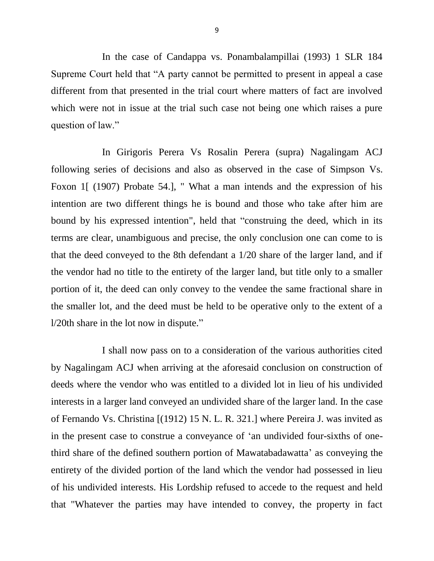In the case of Candappa vs. Ponambalampillai (1993) 1 SLR 184 Supreme Court held that "A party cannot be permitted to present in appeal a case different from that presented in the trial court where matters of fact are involved which were not in issue at the trial such case not being one which raises a pure question of law."

In Girigoris Perera Vs Rosalin Perera (supra) Nagalingam ACJ following series of decisions and also as observed in the case of Simpson Vs. Foxon 1[ (1907) Probate 54.], " What a man intends and the expression of his intention are two different things he is bound and those who take after him are bound by his expressed intention", held that "construing the deed, which in its terms are clear, unambiguous and precise, the only conclusion one can come to is that the deed conveyed to the 8th defendant a 1/20 share of the larger land, and if the vendor had no title to the entirety of the larger land, but title only to a smaller portion of it, the deed can only convey to the vendee the same fractional share in the smaller lot, and the deed must be held to be operative only to the extent of a l/20th share in the lot now in dispute."

I shall now pass on to a consideration of the various authorities cited by Nagalingam ACJ when arriving at the aforesaid conclusion on construction of deeds where the vendor who was entitled to a divided lot in lieu of his undivided interests in a larger land conveyed an undivided share of the larger land. In the case of Fernando Vs. Christina [(1912) 15 N. L. R. 321.] where Pereira J. was invited as in the present case to construe a conveyance of 'an undivided four-sixths of onethird share of the defined southern portion of Mawatabadawatta' as conveying the entirety of the divided portion of the land which the vendor had possessed in lieu of his undivided interests. His Lordship refused to accede to the request and held that "Whatever the parties may have intended to convey, the property in fact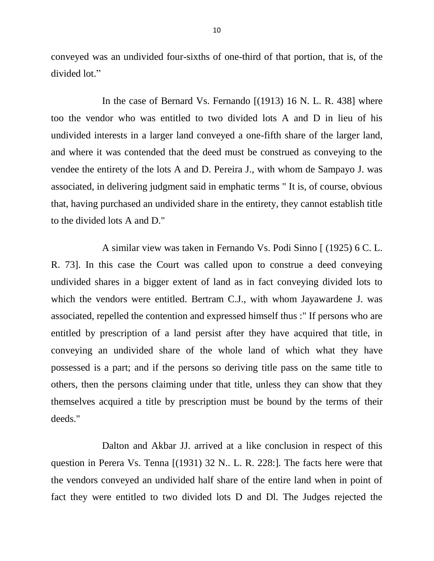conveyed was an undivided four-sixths of one-third of that portion, that is, of the divided lot."

In the case of Bernard Vs. Fernando [(1913) 16 N. L. R. 438] where too the vendor who was entitled to two divided lots A and D in lieu of his undivided interests in a larger land conveyed a one-fifth share of the larger land, and where it was contended that the deed must be construed as conveying to the vendee the entirety of the lots A and D. Pereira J., with whom de Sampayo J. was associated, in delivering judgment said in emphatic terms " It is, of course, obvious that, having purchased an undivided share in the entirety, they cannot establish title to the divided lots A and D."

A similar view was taken in Fernando Vs. Podi Sinno [ (1925) 6 C. L. R. 73]. In this case the Court was called upon to construe a deed conveying undivided shares in a bigger extent of land as in fact conveying divided lots to which the vendors were entitled. Bertram C.J., with whom Jayawardene J. was associated, repelled the contention and expressed himself thus :" If persons who are entitled by prescription of a land persist after they have acquired that title, in conveying an undivided share of the whole land of which what they have possessed is a part; and if the persons so deriving title pass on the same title to others, then the persons claiming under that title, unless they can show that they themselves acquired a title by prescription must be bound by the terms of their deeds."

Dalton and Akbar JJ. arrived at a like conclusion in respect of this question in Perera Vs. Tenna [(1931) 32 N.. L. R. 228:]. The facts here were that the vendors conveyed an undivided half share of the entire land when in point of fact they were entitled to two divided lots D and Dl. The Judges rejected the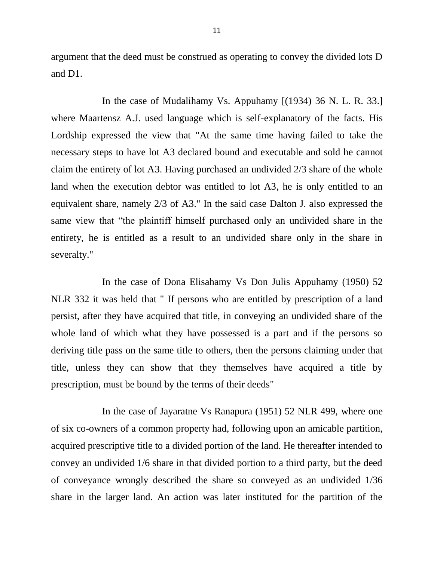argument that the deed must be construed as operating to convey the divided lots D and D1.

In the case of Mudalihamy Vs. Appuhamy [(1934) 36 N. L. R. 33.] where Maartensz A.J. used language which is self-explanatory of the facts. His Lordship expressed the view that "At the same time having failed to take the necessary steps to have lot A3 declared bound and executable and sold he cannot claim the entirety of lot A3. Having purchased an undivided 2/3 share of the whole land when the execution debtor was entitled to lot A3, he is only entitled to an equivalent share, namely 2/3 of A3." In the said case Dalton J. also expressed the same view that "the plaintiff himself purchased only an undivided share in the entirety, he is entitled as a result to an undivided share only in the share in severalty."

In the case of Dona Elisahamy Vs Don Julis Appuhamy (1950) 52 NLR 332 it was held that " If persons who are entitled by prescription of a land persist, after they have acquired that title, in conveying an undivided share of the whole land of which what they have possessed is a part and if the persons so deriving title pass on the same title to others, then the persons claiming under that title, unless they can show that they themselves have acquired a title by prescription, must be bound by the terms of their deeds"

In the case of Jayaratne Vs Ranapura (1951) 52 NLR 499, where one of six co-owners of a common property had, following upon an amicable partition, acquired prescriptive title to a divided portion of the land. He thereafter intended to convey an undivided 1/6 share in that divided portion to a third party, but the deed of conveyance wrongly described the share so conveyed as an undivided 1/36 share in the larger land. An action was later instituted for the partition of the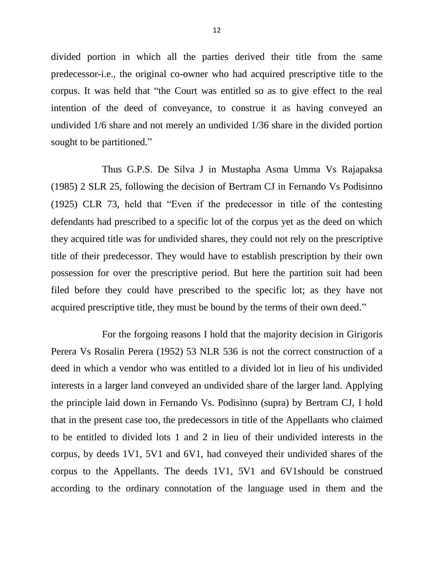divided portion in which all the parties derived their title from the same predecessor-i.e., the original co-owner who had acquired prescriptive title to the corpus. It was held that "the Court was entitled so as to give effect to the real intention of the deed of conveyance, to construe it as having conveyed an undivided 1/6 share and not merely an undivided 1/36 share in the divided portion sought to be partitioned."

Thus G.P.S. De Silva J in Mustapha Asma Umma Vs Rajapaksa (1985) 2 SLR 25, following the decision of Bertram CJ in Fernando Vs Podisinno (1925) CLR 73, held that "Even if the predecessor in title of the contesting defendants had prescribed to a specific lot of the corpus yet as the deed on which they acquired title was for undivided shares, they could not rely on the prescriptive title of their predecessor. They would have to establish prescription by their own possession for over the prescriptive period. But here the partition suit had been filed before they could have prescribed to the specific lot; as they have not acquired prescriptive title, they must be bound by the terms of their own deed."

For the forgoing reasons I hold that the majority decision in Girigoris Perera Vs Rosalin Perera (1952) 53 NLR 536 is not the correct construction of a deed in which a vendor who was entitled to a divided lot in lieu of his undivided interests in a larger land conveyed an undivided share of the larger land. Applying the principle laid down in Fernando Vs. Podisinno (supra) by Bertram CJ, I hold that in the present case too, the predecessors in title of the Appellants who claimed to be entitled to divided lots 1 and 2 in lieu of their undivided interests in the corpus, by deeds 1V1, 5V1 and 6V1, had conveyed their undivided shares of the corpus to the Appellants. The deeds 1V1, 5V1 and 6V1should be construed according to the ordinary connotation of the language used in them and the